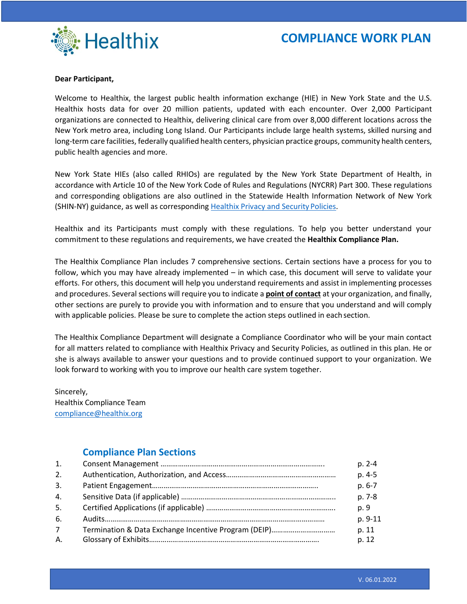

### **Dear Participant,**

Welcome to Healthix, the largest public health information exchange (HIE) in New York State and the U.S. Healthix hosts data for over 20 million patients, updated with each encounter. Over 2,000 Participant organizations are connected to Healthix, delivering clinical care from over 8,000 different locations across the New York metro area, including Long Island. Our Participants include large health systems, skilled nursing and long-term care facilities, federally qualified health centers, physician practice groups, community health centers, public health agencies and more.

New York State HIEs (also called RHIOs) are regulated by the New York State Department of Health, in accordance with Article 10 of the New York Code of Rules and Regulations (NYCRR) Part 300. These regulations and corresponding obligations are also outlined in the Statewide Health Information Network of New York (SHIN-NY) guidance, as well as corresponding [Healthix Privacy and Security](https://healthix.org/who-we-are/privacy-and-security-2/) Policies.

Healthix and its Participants must comply with these regulations. To help you better understand your commitment to these regulations and requirements, we have created the **Healthix Compliance Plan.**

The Healthix Compliance Plan includes 7 comprehensive sections. Certain sections have a process for you to follow, which you may have already implemented – in which case, this document will serve to validate your efforts. For others, this document will help you understand requirements and assist in implementing processes and procedures. Several sections will require you to indicate a **point of contact** at your organization, and finally, other sections are purely to provide you with information and to ensure that you understand and will comply with applicable policies. Please be sure to complete the action steps outlined in eachsection.

The Healthix Compliance Department will designate a Compliance Coordinator who will be your main contact for all matters related to compliance with Healthix Privacy and Security Policies, as outlined in this plan. He or she is always available to answer your questions and to provide continued support to your organization. We look forward to working with you to improve our health care system together.

Sincerely, Healthix Compliance Team [compliance@healthix.org](mailto:compliance@healthix.org)

### **Compliance Plan Sections**

| 1.          | $p. 2-4$ |
|-------------|----------|
| 2.          | p. 4-5   |
| 3.          | $p.6-7$  |
| 4.          | p. 7-8   |
| 5.          | p. 9     |
| 6.          | p. 9-11  |
| $7^{\circ}$ | p. 11    |
| Α.          | p. 12    |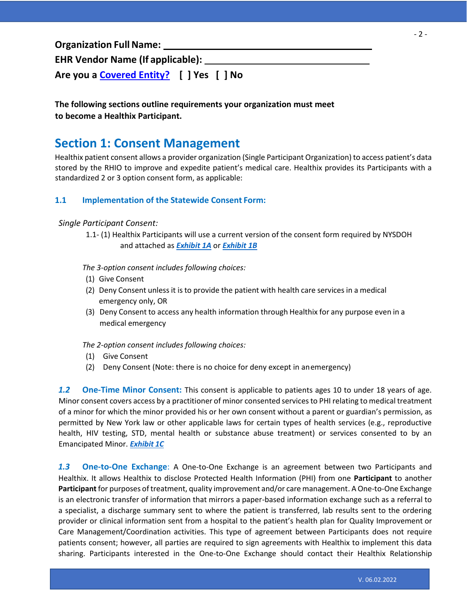**Organization Full Name: EHR Vendor Name (If applicable): Are you a [Covered Entity?](https://www.hhs.gov/hipaa/for-professionals/covered-entities/index.html) [ ] Yes [ ] No**

### **The following sections outline requirements your organization must meet to become a Healthix Participant.**

## **Section 1: Consent Management**

Healthix patient consent allows a provider organization (Single Participant Organization) to access patient's data stored by the RHIO to improve and expedite patient's medical care. Healthix provides its Participants with a standardized 2 or 3 option consent form, as applicable:

### **1.1 Implementation of the Statewide Consent Form:**

### *Single Participant Consent:*

1.1- (1) Healthix Participants will use a current version of the consent form required by NYSDOH and attached as *[Exhibit 1A](https://healthix.org/wp-content/uploads/2021/11/English_ConsentwithEmergencyServices-with-SAMHSA-9.13.21.pdf)* or *[Exhibit 1B](https://healthix.org/wp-content/uploads/2021/11/English_ConsentwithoutEmergencyServices-with-SAMHSA-9.13.21-.pdf)*

*The 3-option consent includes following choices:*

- (1) Give Consent
- (2) Deny Consent unless it is to provide the patient with health care services in a medical emergency only, OR
- (3) Deny Consent to access any health information through Healthix for any purpose even in a medical emergency

*The 2-option consent includes following choices:*

- (1) Give Consent
- (2) Deny Consent (Note: there is no choice for deny except in anemergency)

*1.2* **One-Time Minor Consent:** This consent is applicable to patients ages 10 to under 18 years of age. Minor consent covers access by a practitioner of minor consented servicesto PHI relating to medical treatment of a minor for which the minor provided his or her own consent without a parent or guardian's permission, as permitted by New York law or other applicable laws for certain types of health services (e.g., reproductive health, HIV testing, STD, mental health or substance abuse treatment) or services consented to by an Emancipated Minor. *[Exhibit](https://healthix.org/wp-content/uploads/2018/09/MinorOneTimeConsent_.pdf) 1C*

*1.3* **One-to-One Exchange**: A One-to-One Exchange is an agreement between two Participants and Healthix. It allows Healthix to disclose Protected Health Information (PHI) from one **Participant** to another **Participant** for purposes of treatment, quality improvement and/or care management. A One-to-One Exchange is an electronic transfer of information that mirrors a paper-based information exchange such as a referral to a specialist, a discharge summary sent to where the patient is transferred, lab results sent to the ordering provider or clinical information sent from a hospital to the patient's health plan for Quality Improvement or Care Management/Coordination activities. This type of agreement between Participants does not require patients consent; however, all parties are required to sign agreements with Healthix to implement this data sharing. Participants interested in the One-to-One Exchange should contact their Healthix Relationship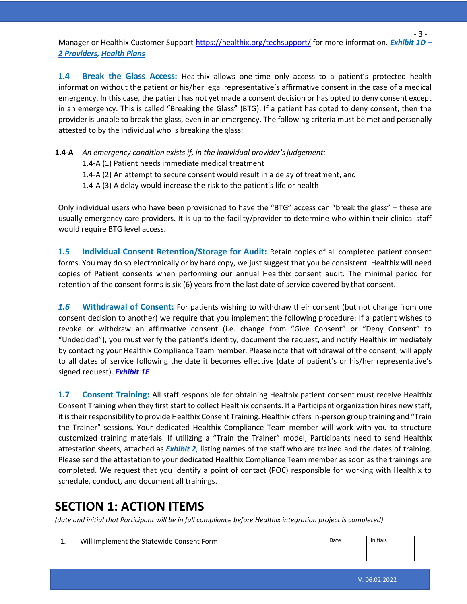Manager or Healthix Customer Support <https://healthix.org/techsupport/> for more information. *Exhibit 1D – [2 Providers,](https://healthix.org/wp-content/uploads/2018/09/One2OneExchangeAuthorization-2providerr.pdf) [Health Plans](https://healthix.org/wp-content/uploads/2018/09/One2OneExchangeAuthorization-2providerr.pdf)*

**1.4 Break the Glass Access:** Healthix allows one-time only access to a patient's protected health information without the patient or his/her legal representative's affirmative consent in the case of a medical emergency. In this case, the patient has not yet made a consent decision or has opted to deny consent except in an emergency. This is called "Breaking the Glass" (BTG). If a patient has opted to deny consent, then the provider is unable to break the glass, even in an emergency. The following criteria must be met and personally attested to by the individual who is breaking the glass:

**1.4-A** *An emergency condition exists if, in the individual provider'sjudgement:*

1.4-A (1) Patient needs immediate medical treatment

1.4-A (2) An attempt to secure consent would result in a delay of treatment, and

1.4-A (3) A delay would increase the risk to the patient's life or health

Only individual users who have been provisioned to have the "BTG" access can "break the glass" – these are usually emergency care providers. It is up to the facility/provider to determine who within their clinical staff would require BTG level access.

**1.5 Individual Consent Retention/Storage for Audit:** Retain copies of all completed patient consent forms. You may do so electronically or by hard copy, we just suggest that you be consistent. Healthix will need copies of Patient consents when performing our annual Healthix consent audit. The minimal period for retention of the consent forms is six (6) years from the last date of service covered by that consent.

*1.6* **Withdrawal of Consent:** For patients wishing to withdraw their consent (but not change from one consent decision to another) we require that you implement the following procedure: If a patient wishes to revoke or withdraw an affirmative consent (i.e. change from "Give Consent" or "Deny Consent" to "Undecided"), you must verify the patient's identity, document the request, and notify Healthix immediately by contacting your Healthix Compliance Team member. Please note that withdrawal of the consent, will apply to all dates of service following the date it becomes effective (date of patient's or his/her representative's signed request). *[Exhibit 1E](https://healthix.org/wp-content/uploads/2021/05/Withdrawal-of-Consent-Form.pdf)*

**1.7 Consent Training:** All staff responsible for obtaining Healthix patient consent must receive Healthix Consent Training when they first start to collect Healthix consents. If a Participant organization hires new staff, it istheirresponsibility to provide Healthix Consent Training. Healthix offers in-person group training and "Train the Trainer" sessions. Your dedicated Healthix Compliance Team member will work with you to structure customized training materials. If utilizing a "Train the Trainer" model, Participants need to send Healthix attestation sheets, attached as *[Exhibit](https://healthix.org/wp-content/uploads/2018/09/PatientConsentAttestationAgreement.pdf) 2*, listing names of the staff who are trained and the dates of training. Please send the attestation to your dedicated Healthix Compliance Team member as soon as the trainings are completed. We request that you identify a point of contact (POC) responsible for working with Healthix to schedule, conduct, and document all trainings.

## **SECTION 1: ACTION ITEMS**

*(date and initial that Participant will be in full compliance before Healthix integration project is completed)*

| . . | Will Implement the Statewide Consent Form | Date | <b>Initials</b> |
|-----|-------------------------------------------|------|-----------------|
|     |                                           |      |                 |

- 3 -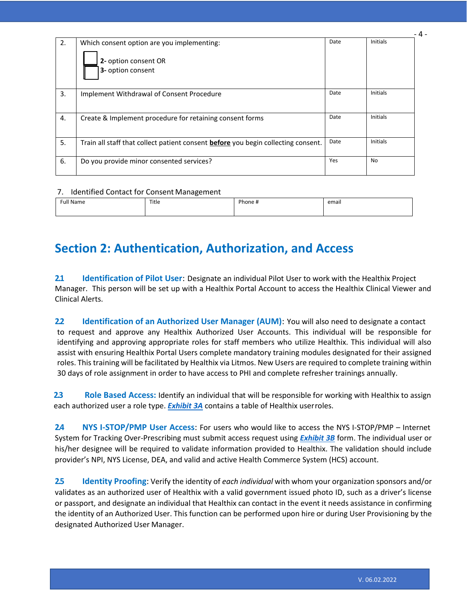| 2. | Which consent option are you implementing:<br>2- option consent OR<br>3- option consent | Date | - 4 -<br><b>Initials</b> |
|----|-----------------------------------------------------------------------------------------|------|--------------------------|
| 3. | Implement Withdrawal of Consent Procedure                                               | Date | <b>Initials</b>          |
| 4. | Create & Implement procedure for retaining consent forms                                | Date | <b>Initials</b>          |
| 5. | Train all staff that collect patient consent before you begin collecting consent.       | Date | <b>Initials</b>          |
| 6. | Do you provide minor consented services?                                                | Yes  | No                       |

### 7. Identified Contact for Consent Management

| ___<br>____                                 |       |                                        |       |  |  |
|---------------------------------------------|-------|----------------------------------------|-------|--|--|
| Full<br>Name<br>$\sim$ $\sim$ $\sim$ $\sim$ | Title | Phone +<br>$\sim$ $\sim$ $\sim$ $\sim$ | email |  |  |
|                                             |       |                                        |       |  |  |

## **Section 2: Authentication, Authorization, and Access**

**2.1 Identification of Pilot User**: Designate an individual Pilot User to work with the Healthix Project Manager. This person will be set up with a Healthix Portal Account to access the Healthix Clinical Viewer and Clinical Alerts.

**2.2 Identification of an Authorized User Manager (AUM)**: You will also need to designate a contact to request and approve any Healthix Authorized User Accounts. This individual will be responsible for identifying and approving appropriate roles for staff members who utilize Healthix. This individual will also assist with ensuring Healthix Portal Users complete mandatory training modules designated for their assigned roles. This training will be facilitated by Healthix via Litmos. New Users are required to complete training within 30 days of role assignment in order to have access to PHI and complete refresher trainings annually.

**2.3 Role Based Access:** Identify an individual that will be responsible for working with Healthix to assign each authorized user a role type. *[Exhibit 3A](https://healthix.org/aum/)* contains a table of Healthix userroles.

**2.4 NYS I-STOP/PMP User Access**: For users who would like to access the NYS I-STOP/PMP – Internet System for Tracking Over-Prescribing must submit access request using *[Exhibit 3B](https://healthix.org/wp-content/uploads/2018/09/Healthix-iStop-Prescriber-Authorization-Form.pdf)* form. The individual user or his/her designee will be required to validate information provided to Healthix. The validation should include provider's NPI, NYS License, DEA, and valid and active Health Commerce System (HCS) account.

**2.5 Identity Proofing**: Verify the identity of *each individual* with whom your organization sponsors and/or validates as an authorized user of Healthix with a valid government issued photo ID, such as a driver's license or passport, and designate an individual that Healthix can contact in the event it needs assistance in confirming the identity of an Authorized User. This function can be performed upon hire or during User Provisioning by the designated Authorized User Manager.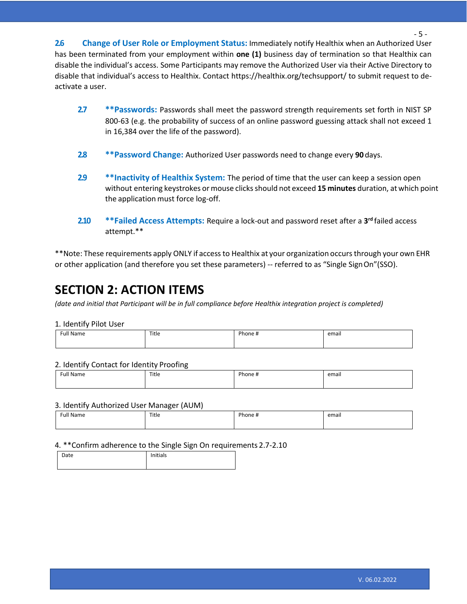**2.6 Change of User Role or Employment Status:** Immediately notify Healthix when an Authorized User has been terminated from your employment within **one (1)** business day of termination so that Healthix can disable the individual's access. Some Participants may remove the Authorized User via their Active Directory to disable that individual's access to Healthix. Contact https://healthix.org/techsupport/ to submit request to deactivate a user.

- **2.7 \*\*Passwords:** Passwords shall meet the password strength requirements set forth in NIST SP 800-63 (e.g. the probability of success of an online password guessing attack shall not exceed 1 in 16,384 over the life of the password).
- **2.8 \*\*Password Change:** Authorized User passwords need to change every **90** days.
- **2.9 \*\*Inactivity of Healthix System:** The period of time that the user can keep a session open without entering keystrokes or mouse clicks should not exceed 15 minutes duration, at which point the application must force log-off.
- **2.10 \*\*Failed Access Attempts:** Require a lock-out and password reset after a **3 rd** failed access attempt.\*\*

\*\*Note: These requirements apply ONLY if accessto Healthix at your organization occursthrough your own EHR or other application (and therefore you set these parameters) -- referred to as "Single SignOn"(SSO).

## **SECTION 2: ACTION ITEMS**

*(date and initial that Participant will be in full compliance before Healthix integration project is completed)*

### 1. Identify Pilot User

| <sup>∶</sup> ull Name<br>$\sim$ $\sim$ $\sim$ | Title | $\cdots$<br>$D_{max}$<br>ione<br>. . | $\blacksquare$<br>email |
|-----------------------------------------------|-------|--------------------------------------|-------------------------|
|                                               |       |                                      |                         |

#### 2. Identify Contact for Identity Proofing

| ull Name <sup>:</sup><br>$\sim$ $\sim$ $\sim$ $\sim$ | Title | Phone,<br>- 11<br>. . | email |
|------------------------------------------------------|-------|-----------------------|-------|
|                                                      |       |                       |       |

### 3. Identify Authorized User Manager (AUM)

| <b>Full Name</b> | Title | Dhan<br>unone <del>a</del> | email |
|------------------|-------|----------------------------|-------|
|                  |       |                            |       |

### 4. \*\*Confirm adherence to the Single Sign On requirements 2.7-2.10

| Date | Initials |  |
|------|----------|--|
|      |          |  |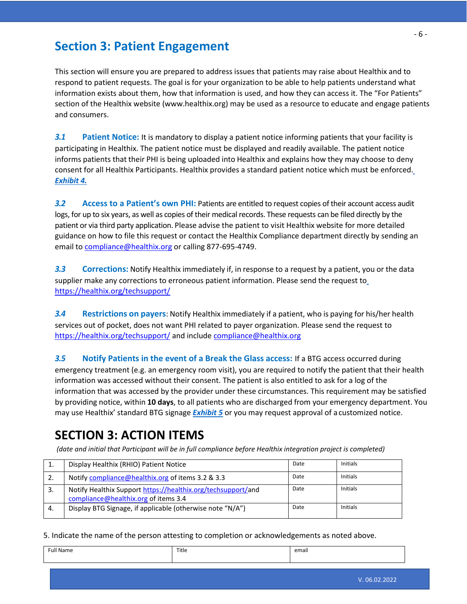## **Section 3: Patient Engagement**

This section will ensure you are prepared to address issues that patients may raise about Healthix and to respond to patient requests. The goal is for your organization to be able to help patients understand what information exists about them, how that information is used, and how they can access it. The "For Patients" section of the Healthix website (www.healthix.org) may be used as a resource to educate and engage patients and consumers.

*3.1* **Patient Notice:** It is mandatory to display a patient notice informing patients that your facility is participating in Healthix. The patient notice must be displayed and readily available. The patient notice informs patients that their PHI is being uploaded into Healthix and explains how they may choose to deny consent for all Healthix Participants. Healthix provides a standard patient notice which must be enforced[.](https://healthix.org/for-patients/faqs/) *[Exhibit](https://healthix.org/for-patients/faqs/) 4.*

*3.2* **Access to a Patient's own PHI:** Patients are entitled to request copies of their account access audit logs, for up to six years, as well as copies of their medical records. These requests can be filed directly by the patient or via third party application. Please advise the patient to visit Healthix website for more detailed guidance on how to file this request or contact the Healthix Compliance department directly by sending an email to [compliance@healthix.org](mailto:compliance@healthix.org) or calling 877-695-4749.

*3.3* **Corrections:** Notify Healthix immediately if, in response to a request by a patient, you or the data supplier make any corrections to erroneous patient information. Please send the request to <https://healthix.org/techsupport/>

*3.4* **Restrictions on payers**: Notify Healthix immediately if a patient, who is paying for his/her health services out of pocket, does not want PHI related to payer organization. Please send the request to <https://healthix.org/techsupport/> and include [compliance@healthix.org](mailto:compliance@healthix.org)

*3.5* **Notify Patients in the event of a Break the Glass access:** If a BTG access occurred during emergency treatment (e.g. an emergency room visit), you are required to notify the patient that their health information was accessed without their consent. The patient is also entitled to ask for a log of the information that was accessed by the provider under these circumstances. This requirement may be satisfied by providing notice, within **10 days**, to all patients who are discharged from your emergency department. You may use Healthix' standard BTG signage *[Exhibit 5](https://healthix.org/videos/break-the-glass-training/)* or you may request approval of a customized notice.

## **SECTION 3: ACTION ITEMS**

*(date and initial that Participant will be in full compliance before Healthix integration project is completed)*

| Display Healthix (RHIO) Patient Notice                       | Date | Initials |
|--------------------------------------------------------------|------|----------|
| Notify compliance@healthix.org of items 3.2 & 3.3            | Date | Initials |
| Notify Healthix Support https://healthix.org/techsupport/and | Date | Initials |
| compliance@healthix.org of items 3.4                         |      |          |
| Display BTG Signage, if applicable (otherwise note "N/A")    | Date | Initials |
|                                                              |      |          |

5. Indicate the name of the person attesting to completion or acknowledgements as noted above.

| Full<br><b>Name</b> | Title | <br>email |
|---------------------|-------|-----------|
|                     |       |           |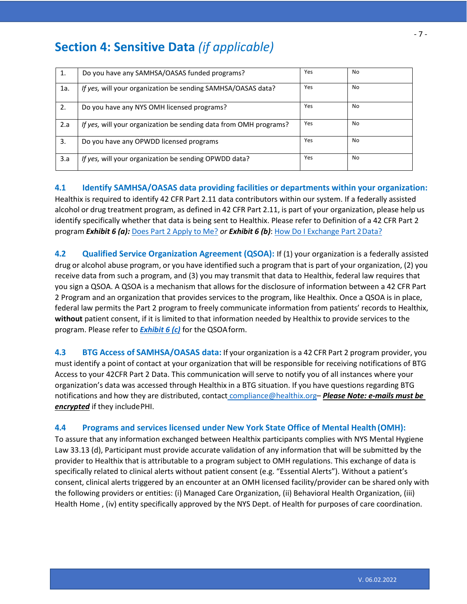| 1.  | Do you have any SAMHSA/OASAS funded programs?                     | Yes | No  |
|-----|-------------------------------------------------------------------|-----|-----|
| 1a. | If yes, will your organization be sending SAMHSA/OASAS data?      | Yes | No. |
| 2.  | Do you have any NYS OMH licensed programs?                        | Yes | No. |
| 2.a | If yes, will your organization be sending data from OMH programs? | Yes | No  |
| 3.  | Do you have any OPWDD licensed programs                           | Yes | No. |
| 3.a | If yes, will your organization be sending OPWDD data?             | Yes | No. |

**4.1 Identify SAMHSA/OASAS data providing facilities or departments within your organization:** Healthix is required to identify 42 CFR Part 2.11 data contributors within our system. If a federally assisted alcohol or drug treatment program, as defined in 42 CFR Part 2.11, is part of your organization, please help us identify specifically whether that data is being sent to Healthix. Please refer to Definition of a 42 CFR Part 2 program *Exhibit 6 (a):* Does Part 2 [Apply](https://www.samhsa.gov/sites/default/files/does-part2-apply.pdf) to Me? *or Exhibit 6 (b)*: How Do I [Exchange](https://www.samhsa.gov/sites/default/files/how-do-i-exchange-part2.pdf) Part 2Data?

**4.2 Qualified Service Organization Agreement (QSOA):** If (1) your organization is a federally assisted drug or alcohol abuse program, or you have identified such a program that is part of your organization, (2) you receive data from such a program, and (3) you may transmit that data to Healthix, federal law requires that you sign a QSOA. A QSOA is a mechanism that allows for the disclosure of information between a 42 CFR Part 2 Program and an organization that provides services to the program, like Healthix. Once a QSOA is in place, federal law permits the Part 2 program to freely communicate information from patients' records to Healthix, **without** patient consent, if it is limited to that information needed by Healthix to provide services to the program. Please refer to *[Exhibit 6 \(c\)](https://healthix.org/wp-content/uploads/2021/05/Exhibit-6c-QSOA-Template-1.2021.pdf)* for the QSOAform.

**4.3 BTG Access of SAMHSA/OASAS data:** If your organization is a 42 CFR Part 2 program provider, you must identify a point of contact at your organization that will be responsible for receiving notifications of BTG Access to your 42CFR Part 2 Data. This communication will serve to notify you of all instances where your organization's data was accessed through Healthix in a BTG situation. If you have questions regarding BTG notifications and how they are distributed, contact [compliance@healthix.org](mailto:compliance@healthix.org)– *Please Note: e-mails must be encrypted* if they includePHI.

### **4.4 Programs and services licensed under New York State Office of Mental Health (OMH):**

To assure that any information exchanged between Healthix participants complies with NYS Mental Hygiene Law 33.13 (d), Participant must provide accurate validation of any information that will be submitted by the provider to Healthix that is attributable to a program subject to OMH regulations. This exchange of data is specifically related to clinical alerts without patient consent (e.g. "Essential Alerts"). Without a patient's consent, clinical alerts triggered by an encounter at an OMH licensed facility/provider can be shared only with the following providers or entities: (i) Managed Care Organization, (ii) Behavioral Health Organization, (iii) Health Home , (iv) entity specifically approved by the NYS Dept. of Health for purposes of care coordination.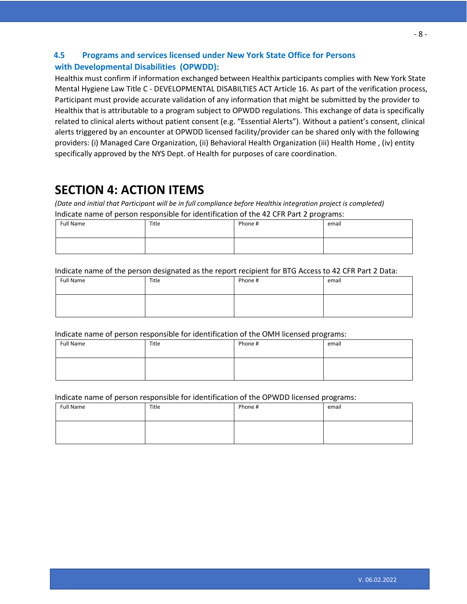### **4.5 Programs and services licensed under New York State Office for Persons with Developmental Disabilities (OPWDD):**

Healthix must confirm if information exchanged between Healthix participants complies with New York State Mental Hygiene Law Title C - DEVELOPMENTAL DISABILTIES ACT Article 16. As part of the verification process, Participant must provide accurate validation of any information that might be submitted by the provider to Healthix that is attributable to a program subject to OPWDD regulations. This exchange of data is specifically related to clinical alerts without patient consent (e.g. "Essential Alerts"). Without a patient's consent, clinical alerts triggered by an encounter at OPWDD licensed facility/provider can be shared only with the following providers: (i) Managed Care Organization, (ii) Behavioral Health Organization (iii) Health Home , (iv) entity specifically approved by the NYS Dept. of Health for purposes of care coordination.

## **SECTION 4: ACTION ITEMS**

*(Date and initial that Participant will be in full compliance before Healthix integration project is completed)* Indicate name of person responsible for identification of the 42 CFR Part 2 programs:

| Full Name | Title | $\tilde{\phantom{a}}$<br>Phone # | email |
|-----------|-------|----------------------------------|-------|
|           |       |                                  |       |

Indicate name of the person designated as the report recipient for BTG Access to 42 CFR Part 2 Data:

| Full Name | Title | Phone # | email |
|-----------|-------|---------|-------|
|           |       |         |       |

Indicate name of person responsible for identification of the OMH licensed programs:

| Full Name | Title | Phone # | email |
|-----------|-------|---------|-------|
|           |       |         |       |

Indicate name of person responsible for identification of the OPWDD licensed programs:

| Full Name | Title | Phone # | email |
|-----------|-------|---------|-------|
|           |       |         |       |
|           |       |         |       |
|           |       |         |       |
|           |       |         |       |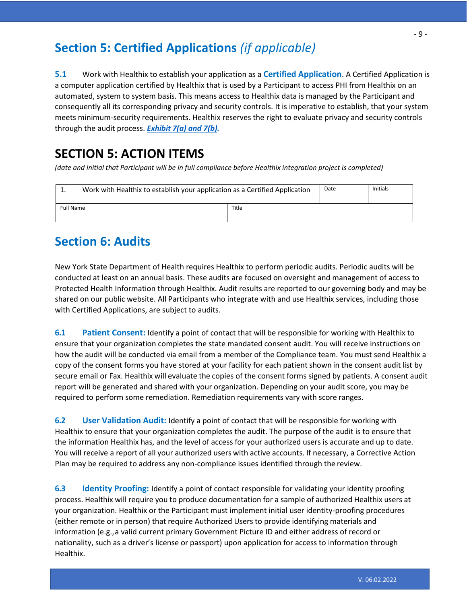## **Section 5: Certified Applications** *(if applicable)*

**5.1** Work with Healthix to establish your application as a **Certified Application**. A Certified Application is a computer application certified by Healthix that is used by a Participant to access PHI from Healthix on an automated, system to system basis. This means access to Healthix data is managed by the Participant and consequently all its corresponding privacy and security controls. It is imperative to establish, that your system meets minimum-security requirements. Healthix reserves the right to evaluate privacy and security controls through the audit process. *Exhibit [7\(a\) and 7\(b\).](https://healthix.org/wp-content/uploads/Compliance_Exhibit7_CertifiedApplications.pdf)*

## **SECTION 5: ACTION ITEMS**

*(date and initial that Participant will be in full compliance before Healthix integration project is completed)*

| <b>.</b>         | Work with Healthix to establish your application as a Certified Application |       | Date | <b>Initials</b> |
|------------------|-----------------------------------------------------------------------------|-------|------|-----------------|
| <b>Full Name</b> |                                                                             | Title |      |                 |

## **Section 6: Audits**

New York State Department of Health requires Healthix to perform periodic audits. Periodic audits will be conducted at least on an annual basis. These audits are focused on oversight and management of access to Protected Health Information through Healthix. Audit results are reported to our governing body and may be shared on our public website. All Participants who integrate with and use Healthix services, including those with Certified Applications, are subject to audits.

**6.1 Patient Consent:** Identify a point of contact that will be responsible for working with Healthix to ensure that your organization completes the state mandated consent audit. You will receive instructions on how the audit will be conducted via email from a member of the Compliance team. You must send Healthix a copy of the consent forms you have stored at your facility for each patient shown in the consent audit list by secure email or Fax. Healthix will evaluate the copies of the consent forms signed by patients. A consent audit report will be generated and shared with your organization. Depending on your audit score, you may be required to perform some remediation. Remediation requirements vary with score ranges.

**6.2 User Validation Audit:** Identify a point of contact that will be responsible for working with Healthix to ensure that your organization completes the audit. The purpose of the audit is to ensure that the information Healthix has, and the level of access for your authorized users is accurate and up to date. You will receive a report of all your authorized users with active accounts. If necessary, a Corrective Action Plan may be required to address any non-compliance issues identified through the review.

**6.3 Identity Proofing:** Identify a point of contact responsible for validating your identity proofing process. Healthix will require you to produce documentation for a sample of authorized Healthix users at your organization. Healthix or the Participant must implement initial user identity-proofing procedures (either remote or in person) that require Authorized Users to provide identifying materials and information (e.g.,a valid current primary Government Picture ID and either address of record or nationality, such as a driver's license or passport) upon application for access to information through Healthix.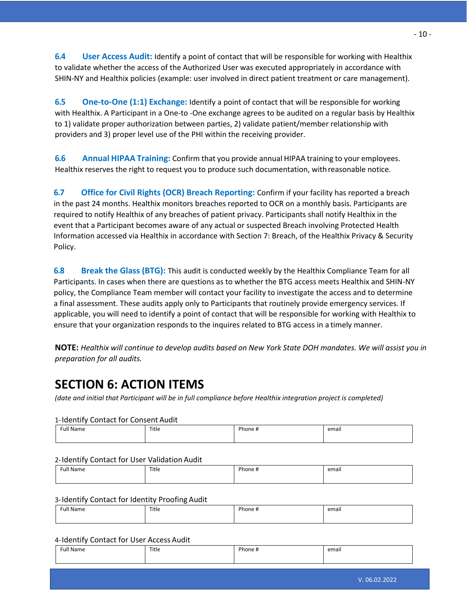**6.4 User Access Audit:** Identify a point of contact that will be responsible for working with Healthix to validate whether the access of the Authorized User was executed appropriately in accordance with SHIN-NY and Healthix policies (example: user involved in direct patient treatment or care management).

**6.5 One-to-One (1:1) Exchange:** Identify a point of contact that will be responsible for working with Healthix. A Participant in a One-to -One exchange agrees to be audited on a regular basis by Healthix to 1) validate proper authorization between parties, 2) validate patient/member relationship with providers and 3) proper level use of the PHI within the receiving provider.

**6.6 Annual HIPAA Training:** Confirm that you provide annual HIPAA training to your employees. Healthix reserves the right to request you to produce such documentation, withreasonable notice.

**6.7 Office for Civil Rights (OCR) Breach Reporting:** Confirm if your facility has reported a breach in the past 24 months. Healthix monitors breaches reported to OCR on a monthly basis. Participants are required to notify Healthix of any breaches of patient privacy. Participants shall notify Healthix in the event that a Participant becomes aware of any actual or suspected Breach involving Protected Health Information accessed via Healthix in accordance with Section 7: Breach, of the Healthix Privacy & Security Policy.

**6.8 Break the Glass (BTG):** This audit is conducted weekly by the Healthix Compliance Team for all Participants. In cases when there are questions as to whether the BTG access meets Healthix and SHIN-NY policy, the Compliance Team member will contact your facility to investigate the access and to determine a final assessment. These audits apply only to Participants that routinely provide emergency services. If applicable, you will need to identify a point of contact that will be responsible for working with Healthix to ensure that your organization responds to the inquires related to BTG access in a timely manner.

**NOTE:** *Healthix will continue to develop audits based on New York State DOH mandates. We will assist you in preparation for all audits.*

## **SECTION 6: ACTION ITEMS**

*(date and initial that Participant will be in full compliance before Healthix integration project is completed)*

### 1-Identify Contact for Consent Audit

| ull Name <sup>:</sup> | Title | Phone + | email |
|-----------------------|-------|---------|-------|
|                       |       |         |       |

### 2-Identify Contact for User Validation Audit

| 11.7                                |       | Phone. |       |
|-------------------------------------|-------|--------|-------|
| Name<br>$\sim$ $\sim$ $\sim$ $\sim$ | Title |        | email |
|                                     |       |        |       |
|                                     |       |        |       |

### 3-Identify Contact for Identity Proofing Audit

| Full Name | Title | $\cdots$<br>Phone # | <br>email |
|-----------|-------|---------------------|-----------|
|           |       |                     |           |

### 4-Identify Contact for User Access Audit

| <b>Full Name</b> | Title | Phone # | email |
|------------------|-------|---------|-------|
|                  |       |         |       |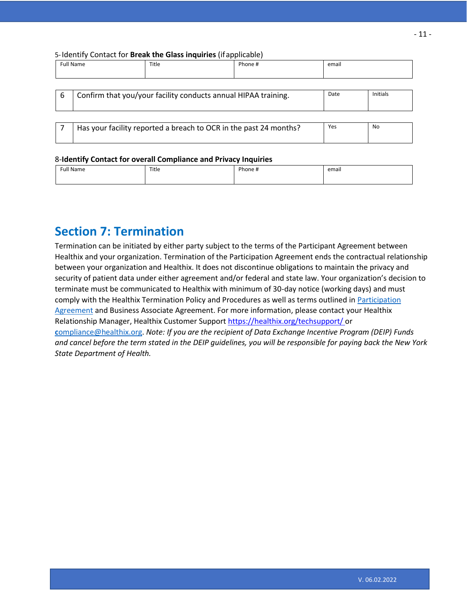| Full Name<br>$\sim$ $\sim$ $\sim$ $\sim$ | Title | $R = 1$<br>- 77<br>____ | email |
|------------------------------------------|-------|-------------------------|-------|
|                                          |       |                         |       |

| 6 | Confirm that you/your facility conducts annual HIPAA training.    | Date | Initials |
|---|-------------------------------------------------------------------|------|----------|
|   |                                                                   |      |          |
|   | Has your facility reported a breach to OCR in the past 24 months? | Yes  | No       |

#### 8-**Identify Contact for overall Compliance and Privacy Inquiries**

| ull<br>-NM<br>$\sim$ $\sim$ $\sim$ $\sim$ | Title | ممطا | email |
|-------------------------------------------|-------|------|-------|
|                                           |       |      |       |

## **Section 7: Termination**

Termination can be initiated by either party subject to the terms of the Participant Agreement between Healthix and your organization. Termination of the Participation Agreement ends the contractual relationship between your organization and Healthix. It does not discontinue obligations to maintain the privacy and security of patient data under either agreement and/or federal and state law. Your organization's decision to terminate must be communicated to Healthix with minimum of 30-day notice (working days) and must comply with the Healthix Termination Policy and Procedures as well as terms outlined i[n Participation](https://healthix.org/wp-content/uploads/2018/09/HealthixParticipantAgreement-1.pdf) [Agreement](https://healthix.org/wp-content/uploads/2016/07/ParticipationAgreementHealthPlans.pdf) and Business Associate Agreement. For more information, please contact your Healthix Relationship Manager, Healthix Customer Support<https://healthix.org/techsupport/> or **c**[ompliance@healthix.org.](mailto:Compliance@healthix.org) *Note: If you are the recipient of Data Exchange Incentive Program (DEIP) Funds and cancel before the term stated in the DEIP guidelines, you will be responsible for paying back the New York State Department of Health.*